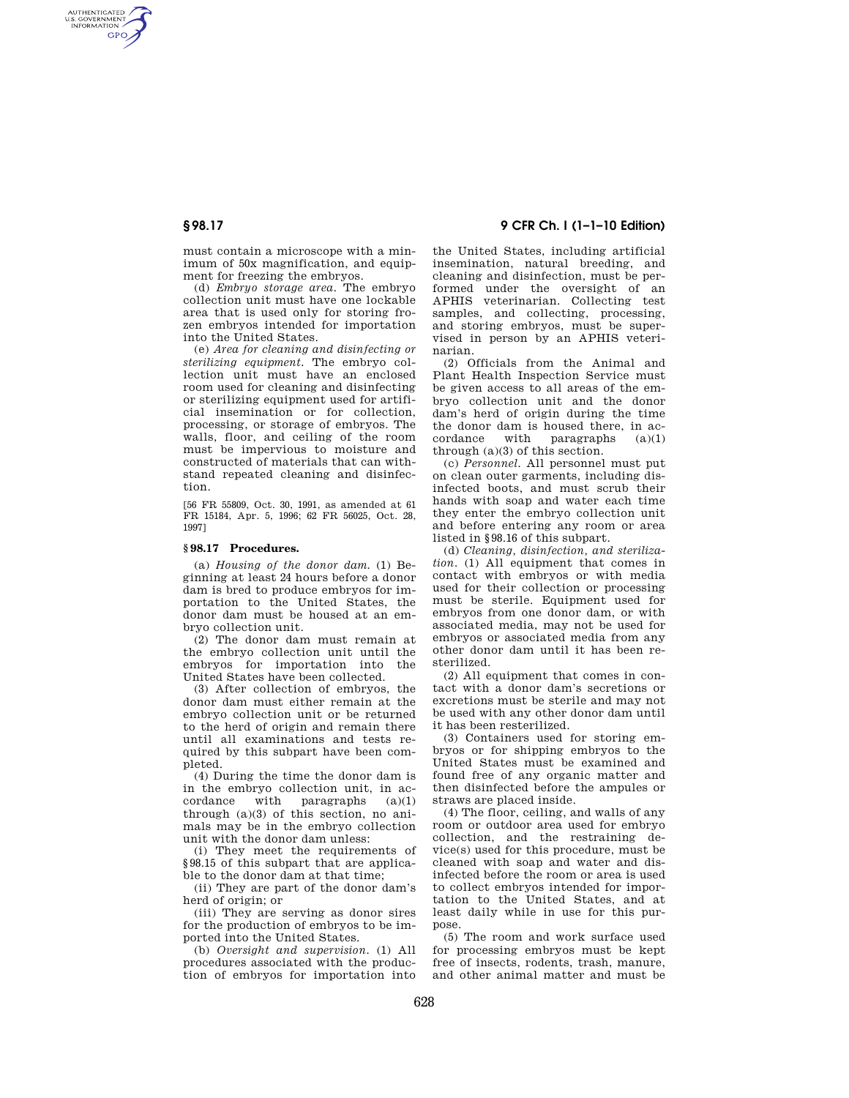AUTHENTICATED<br>U.S. GOVERNMENT<br>INFORMATION **GPO** 

> must contain a microscope with a minimum of 50x magnification, and equipment for freezing the embryos.

(d) *Embryo storage area.* The embryo collection unit must have one lockable area that is used only for storing frozen embryos intended for importation into the United States.

(e) *Area for cleaning and disinfecting or sterilizing equipment.* The embryo collection unit must have an enclosed room used for cleaning and disinfecting or sterilizing equipment used for artificial insemination or for collection, processing, or storage of embryos. The walls, floor, and ceiling of the room must be impervious to moisture and constructed of materials that can withstand repeated cleaning and disinfection.

[56 FR 55809, Oct. 30, 1991, as amended at 61 FR 15184, Apr. 5, 1996; 62 FR 56025, Oct. 28, 1997]

#### **§ 98.17 Procedures.**

(a) *Housing of the donor dam.* (1) Beginning at least 24 hours before a donor dam is bred to produce embryos for importation to the United States, the donor dam must be housed at an embryo collection unit.

(2) The donor dam must remain at the embryo collection unit until the embryos for importation into the United States have been collected.

(3) After collection of embryos, the donor dam must either remain at the embryo collection unit or be returned to the herd of origin and remain there until all examinations and tests required by this subpart have been completed.

(4) During the time the donor dam is in the embryo collection unit, in accordance with paragraphs  $(a)(1)$ cordance with paragraphs (a)(1) through (a)(3) of this section, no animals may be in the embryo collection unit with the donor dam unless:

(i) They meet the requirements of §98.15 of this subpart that are applicable to the donor dam at that time;

(ii) They are part of the donor dam's herd of origin; or

(iii) They are serving as donor sires for the production of embryos to be imported into the United States.

(b) *Oversight and supervision.* (1) All procedures associated with the production of embryos for importation into

# **§ 98.17 9 CFR Ch. I (1–1–10 Edition)**

the United States, including artificial insemination, natural breeding, and cleaning and disinfection, must be performed under the oversight of an APHIS veterinarian. Collecting test samples, and collecting, processing, and storing embryos, must be supervised in person by an APHIS veterinarian.

(2) Officials from the Animal and Plant Health Inspection Service must be given access to all areas of the embryo collection unit and the donor dam's herd of origin during the time the donor dam is housed there, in accordance with paragraphs  $(a)(1)$ through  $(a)(3)$  of this section.

(c) *Personnel.* All personnel must put on clean outer garments, including disinfected boots, and must scrub their hands with soap and water each time they enter the embryo collection unit and before entering any room or area listed in §98.16 of this subpart.

(d) *Cleaning, disinfection, and sterilization.* (1) All equipment that comes in contact with embryos or with media used for their collection or processing must be sterile. Equipment used for embryos from one donor dam, or with associated media, may not be used for embryos or associated media from any other donor dam until it has been resterilized.

(2) All equipment that comes in contact with a donor dam's secretions or excretions must be sterile and may not be used with any other donor dam until it has been resterilized.

(3) Containers used for storing embryos or for shipping embryos to the United States must be examined and found free of any organic matter and then disinfected before the ampules or straws are placed inside.

(4) The floor, ceiling, and walls of any room or outdoor area used for embryo collection, and the restraining device(s) used for this procedure, must be cleaned with soap and water and disinfected before the room or area is used to collect embryos intended for importation to the United States, and at least daily while in use for this purpose.

(5) The room and work surface used for processing embryos must be kept free of insects, rodents, trash, manure, and other animal matter and must be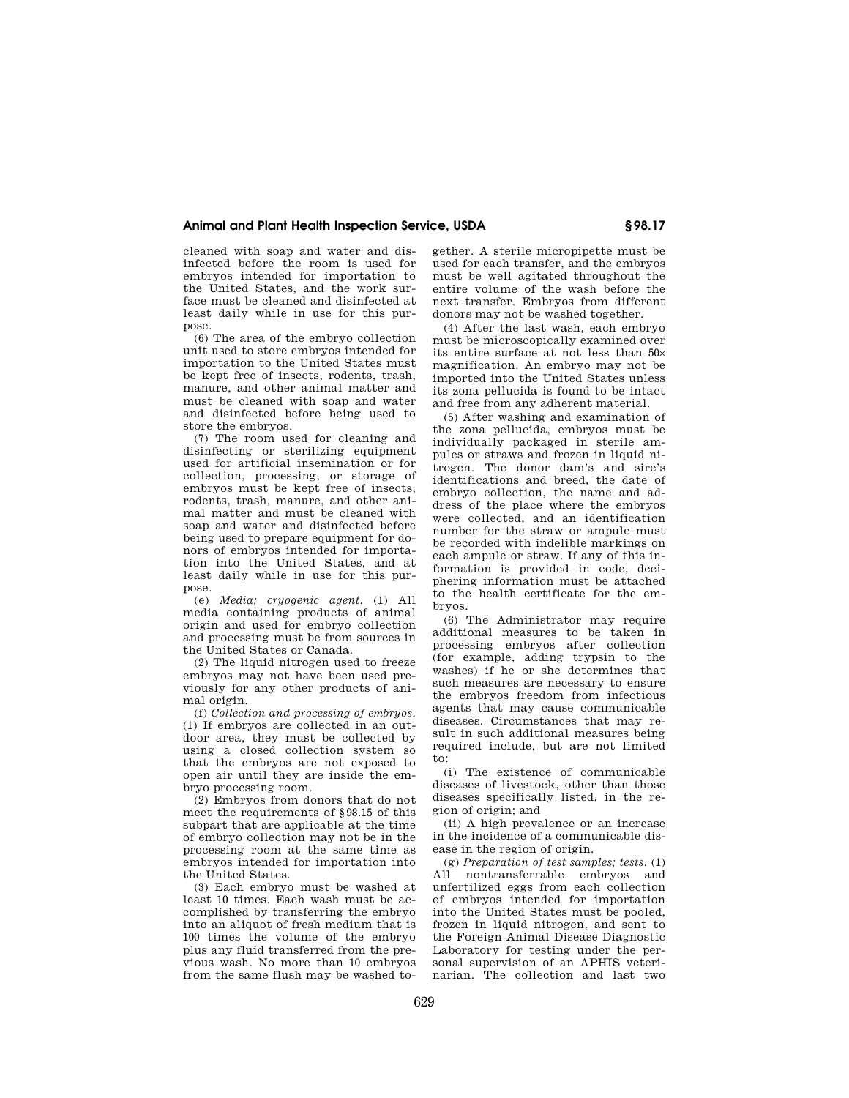## **Animal and Plant Health Inspection Service, USDA § 98.17**

cleaned with soap and water and disinfected before the room is used for embryos intended for importation to the United States, and the work surface must be cleaned and disinfected at least daily while in use for this purpose.

(6) The area of the embryo collection unit used to store embryos intended for importation to the United States must be kept free of insects, rodents, trash, manure, and other animal matter and must be cleaned with soap and water and disinfected before being used to store the embryos.

(7) The room used for cleaning and disinfecting or sterilizing equipment used for artificial insemination or for collection, processing, or storage of embryos must be kept free of insects, rodents, trash, manure, and other animal matter and must be cleaned with soap and water and disinfected before being used to prepare equipment for donors of embryos intended for importation into the United States, and at least daily while in use for this purpose.

(e) *Media; cryogenic agent.* (1) All media containing products of animal origin and used for embryo collection and processing must be from sources in the United States or Canada.

(2) The liquid nitrogen used to freeze embryos may not have been used previously for any other products of animal origin.

(f) *Collection and processing of embryos.*  (1) If embryos are collected in an outdoor area, they must be collected by using a closed collection system so that the embryos are not exposed to open air until they are inside the embryo processing room.

(2) Embryos from donors that do not meet the requirements of §98.15 of this subpart that are applicable at the time of embryo collection may not be in the processing room at the same time as embryos intended for importation into the United States.

(3) Each embryo must be washed at least 10 times. Each wash must be accomplished by transferring the embryo into an aliquot of fresh medium that is 100 times the volume of the embryo plus any fluid transferred from the previous wash. No more than 10 embryos from the same flush may be washed to-

gether. A sterile micropipette must be used for each transfer, and the embryos must be well agitated throughout the entire volume of the wash before the next transfer. Embryos from different donors may not be washed together.

(4) After the last wash, each embryo must be microscopically examined over its entire surface at not less than 50× magnification. An embryo may not be imported into the United States unless its zona pellucida is found to be intact and free from any adherent material.

(5) After washing and examination of the zona pellucida, embryos must be individually packaged in sterile ampules or straws and frozen in liquid nitrogen. The donor dam's and sire's identifications and breed, the date of embryo collection, the name and address of the place where the embryos were collected, and an identification number for the straw or ampule must be recorded with indelible markings on each ampule or straw. If any of this information is provided in code, deciphering information must be attached to the health certificate for the embryos.

(6) The Administrator may require additional measures to be taken in processing embryos after collection (for example, adding trypsin to the washes) if he or she determines that such measures are necessary to ensure the embryos freedom from infectious agents that may cause communicable diseases. Circumstances that may result in such additional measures being required include, but are not limited to:

(i) The existence of communicable diseases of livestock, other than those diseases specifically listed, in the region of origin; and

(ii) A high prevalence or an increase in the incidence of a communicable disease in the region of origin.

(g) *Preparation of test samples; tests.* (1) All nontransferrable embryos and unfertilized eggs from each collection of embryos intended for importation into the United States must be pooled, frozen in liquid nitrogen, and sent to the Foreign Animal Disease Diagnostic Laboratory for testing under the personal supervision of an APHIS veterinarian. The collection and last two